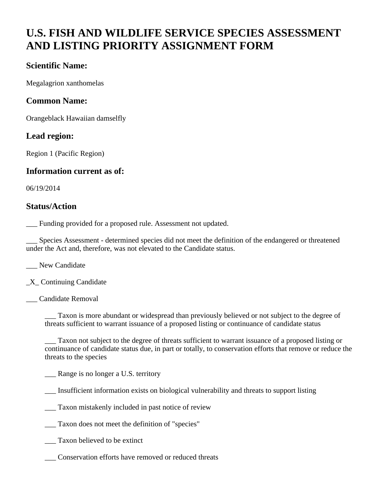# **U.S. FISH AND WILDLIFE SERVICE SPECIES ASSESSMENT AND LISTING PRIORITY ASSIGNMENT FORM**

#### **Scientific Name:**

Megalagrion xanthomelas

#### **Common Name:**

Orangeblack Hawaiian damselfly

#### **Lead region:**

Region 1 (Pacific Region)

#### **Information current as of:**

06/19/2014

#### **Status/Action**

\_\_\_ Funding provided for a proposed rule. Assessment not updated.

Species Assessment - determined species did not meet the definition of the endangered or threatened under the Act and, therefore, was not elevated to the Candidate status.

\_\_\_ New Candidate

 $X_$  Continuing Candidate

\_\_\_ Candidate Removal

Taxon is more abundant or widespread than previously believed or not subject to the degree of threats sufficient to warrant issuance of a proposed listing or continuance of candidate status

Taxon not subject to the degree of threats sufficient to warrant issuance of a proposed listing or continuance of candidate status due, in part or totally, to conservation efforts that remove or reduce the threats to the species

Range is no longer a U.S. territory

\_\_\_ Insufficient information exists on biological vulnerability and threats to support listing

\_\_\_ Taxon mistakenly included in past notice of review

\_\_\_ Taxon does not meet the definition of "species"

\_\_\_ Taxon believed to be extinct

\_\_\_ Conservation efforts have removed or reduced threats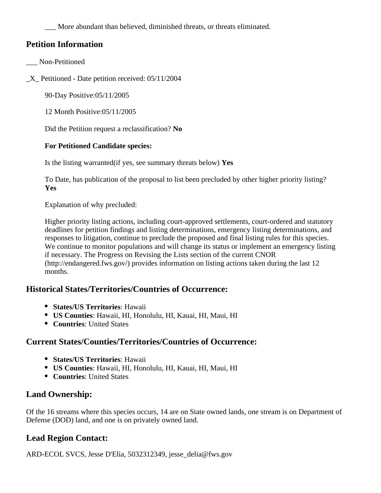More abundant than believed, diminished threats, or threats eliminated.

#### **Petition Information**

- \_\_\_ Non-Petitioned
- \_X\_ Petitioned Date petition received: 05/11/2004

90-Day Positive:05/11/2005

12 Month Positive:05/11/2005

Did the Petition request a reclassification? **No**

#### **For Petitioned Candidate species:**

Is the listing warranted(if yes, see summary threats below) **Yes**

To Date, has publication of the proposal to list been precluded by other higher priority listing? **Yes**

Explanation of why precluded:

Higher priority listing actions, including court-approved settlements, court-ordered and statutory deadlines for petition findings and listing determinations, emergency listing determinations, and responses to litigation, continue to preclude the proposed and final listing rules for this species. We continue to monitor populations and will change its status or implement an emergency listing if necessary. The Progress on Revising the Lists section of the current CNOR (http://endangered.fws.gov/) provides information on listing actions taken during the last 12 months.

#### **Historical States/Territories/Countries of Occurrence:**

- **States/US Territories**: Hawaii
- **US Counties**: Hawaii, HI, Honolulu, HI, Kauai, HI, Maui, HI
- **Countries**: United States

#### **Current States/Counties/Territories/Countries of Occurrence:**

- **States/US Territories**: Hawaii
- **US Counties**: Hawaii, HI, Honolulu, HI, Kauai, HI, Maui, HI
- **Countries**: United States

## **Land Ownership:**

Of the 16 streams where this species occurs, 14 are on State owned lands, one stream is on Department of Defense (DOD) land, and one is on privately owned land.

## **Lead Region Contact:**

ARD-ECOL SVCS, Jesse D'Elia, 5032312349, jesse\_delia@fws.gov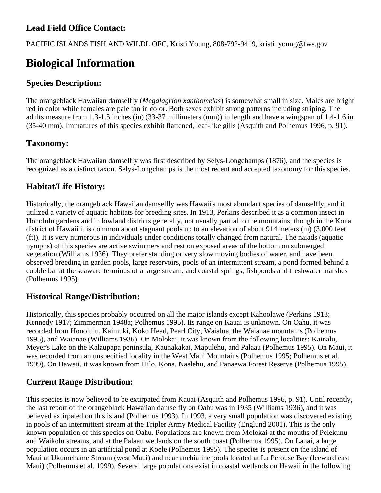# **Lead Field Office Contact:**

PACIFIC ISLANDS FISH AND WILDL OFC, Kristi Young, 808-792-9419, kristi\_young@fws.gov

# **Biological Information**

#### **Species Description:**

The orangeblack Hawaiian damselfly (*Megalagrion xanthomelas*) is somewhat small in size. Males are bright red in color while females are pale tan in color. Both sexes exhibit strong patterns including striping. The adults measure from 1.3-1.5 inches (in) (33-37 millimeters (mm)) in length and have a wingspan of 1.4-1.6 in (35-40 mm). Immatures of this species exhibit flattened, leaf-like gills (Asquith and Polhemus 1996, p. 91).

#### **Taxonomy:**

The orangeblack Hawaiian damselfly was first described by Selys-Longchamps (1876), and the species is recognized as a distinct taxon. Selys-Longchamps is the most recent and accepted taxonomy for this species.

#### **Habitat/Life History:**

Historically, the orangeblack Hawaiian damselfly was Hawaii's most abundant species of damselfly, and it utilized a variety of aquatic habitats for breeding sites. In 1913, Perkins described it as a common insect in Honolulu gardens and in lowland districts generally, not usually partial to the mountains, though in the Kona district of Hawaii it is common about stagnant pools up to an elevation of about 914 meters (m) (3,000 feet (ft)). It is very numerous in individuals under conditions totally changed from natural. The naiads (aquatic nymphs) of this species are active swimmers and rest on exposed areas of the bottom on submerged vegetation (Williams 1936). They prefer standing or very slow moving bodies of water, and have been observed breeding in garden pools, large reservoirs, pools of an intermittent stream, a pond formed behind a cobble bar at the seaward terminus of a large stream, and coastal springs, fishponds and freshwater marshes (Polhemus 1995).

#### **Historical Range/Distribution:**

Historically, this species probably occurred on all the major islands except Kahoolawe (Perkins 1913; Kennedy 1917; Zimmerman 1948a; Polhemus 1995). Its range on Kauai is unknown. On Oahu, it was recorded from Honolulu, Kaimuki, Koko Head, Pearl City, Waialua, the Waianae mountains (Polhemus 1995), and Waianae (Williams 1936). On Molokai, it was known from the following localities: Kainalu, Meyer's Lake on the Kalaupapa peninsula, Kaunakakai, Mapulehu, and Palaau (Polhemus 1995). On Maui, it was recorded from an unspecified locality in the West Maui Mountains (Polhemus 1995; Polhemus et al. 1999). On Hawaii, it was known from Hilo, Kona, Naalehu, and Panaewa Forest Reserve (Polhemus 1995).

#### **Current Range Distribution:**

This species is now believed to be extirpated from Kauai (Asquith and Polhemus 1996, p. 91). Until recently, the last report of the orangeblack Hawaiian damselfly on Oahu was in 1935 (Williams 1936), and it was believed extirpated on this island (Polhemus 1993). In 1993, a very small population was discovered existing in pools of an intermittent stream at the Tripler Army Medical Facility (Englund 2001). This is the only known population of this species on Oahu. Populations are known from Molokai at the mouths of Pelekunu and Waikolu streams, and at the Palaau wetlands on the south coast (Polhemus 1995). On Lanai, a large population occurs in an artificial pond at Koele (Polhemus 1995). The species is present on the island of Maui at Ukumehame Stream (west Maui) and near anchialine pools located at La Perouse Bay (leeward east Maui) (Polhemus et al. 1999). Several large populations exist in coastal wetlands on Hawaii in the following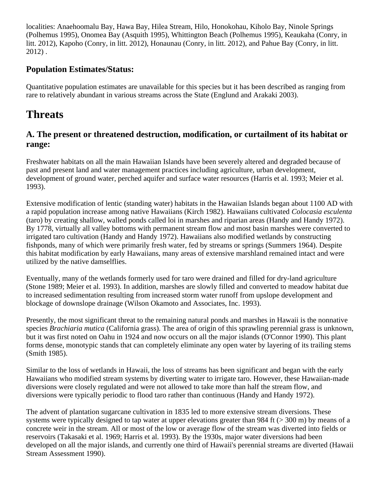localities: Anaehoomalu Bay, Hawa Bay, Hilea Stream, Hilo, Honokohau, Kiholo Bay, Ninole Springs (Polhemus 1995), Onomea Bay (Asquith 1995), Whittington Beach (Polhemus 1995), Keaukaha (Conry, in litt. 2012), Kapoho (Conry, in litt. 2012), Honaunau (Conry, in litt. 2012), and Pahue Bay (Conry, in litt. 2012) .

#### **Population Estimates/Status:**

Quantitative population estimates are unavailable for this species but it has been described as ranging from rare to relatively abundant in various streams across the State (Englund and Arakaki 2003).

# **Threats**

#### **A. The present or threatened destruction, modification, or curtailment of its habitat or range:**

Freshwater habitats on all the main Hawaiian Islands have been severely altered and degraded because of past and present land and water management practices including agriculture, urban development, development of ground water, perched aquifer and surface water resources (Harris et al. 1993; Meier et al. 1993).

Extensive modification of lentic (standing water) habitats in the Hawaiian Islands began about 1100 AD with a rapid population increase among native Hawaiians (Kirch 1982). Hawaiians cultivated *Colocasia esculenta* (taro) by creating shallow, walled ponds called loi in marshes and riparian areas (Handy and Handy 1972). By 1778, virtually all valley bottoms with permanent stream flow and most basin marshes were converted to irrigated taro cultivation (Handy and Handy 1972). Hawaiians also modified wetlands by constructing fishponds, many of which were primarily fresh water, fed by streams or springs (Summers 1964). Despite this habitat modification by early Hawaiians, many areas of extensive marshland remained intact and were utilized by the native damselflies.

Eventually, many of the wetlands formerly used for taro were drained and filled for dry-land agriculture (Stone 1989; Meier et al. 1993). In addition, marshes are slowly filled and converted to meadow habitat due to increased sedimentation resulting from increased storm water runoff from upslope development and blockage of downslope drainage (Wilson Okamoto and Associates, Inc. 1993).

Presently, the most significant threat to the remaining natural ponds and marshes in Hawaii is the nonnative species *Brachiaria mutica* (California grass). The area of origin of this sprawling perennial grass is unknown, but it was first noted on Oahu in 1924 and now occurs on all the major islands (O'Connor 1990). This plant forms dense, monotypic stands that can completely eliminate any open water by layering of its trailing stems (Smith 1985).

Similar to the loss of wetlands in Hawaii, the loss of streams has been significant and began with the early Hawaiians who modified stream systems by diverting water to irrigate taro. However, these Hawaiian-made diversions were closely regulated and were not allowed to take more than half the stream flow, and diversions were typically periodic to flood taro rather than continuous (Handy and Handy 1972).

The advent of plantation sugarcane cultivation in 1835 led to more extensive stream diversions. These systems were typically designed to tap water at upper elevations greater than 984 ft ( $>$  300 m) by means of a concrete weir in the stream. All or most of the low or average flow of the stream was diverted into fields or reservoirs (Takasaki et al. 1969; Harris et al. 1993). By the 1930s, major water diversions had been developed on all the major islands, and currently one third of Hawaii's perennial streams are diverted (Hawaii Stream Assessment 1990).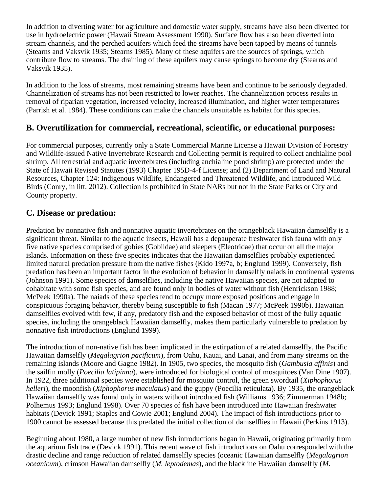In addition to diverting water for agriculture and domestic water supply, streams have also been diverted for use in hydroelectric power (Hawaii Stream Assessment 1990). Surface flow has also been diverted into stream channels, and the perched aquifers which feed the streams have been tapped by means of tunnels (Stearns and Vaksvik 1935; Stearns 1985). Many of these aquifers are the sources of springs, which contribute flow to streams. The draining of these aquifers may cause springs to become dry (Stearns and Vaksvik 1935).

In addition to the loss of streams, most remaining streams have been and continue to be seriously degraded. Channelization of streams has not been restricted to lower reaches. The channelization process results in removal of riparian vegetation, increased velocity, increased illumination, and higher water temperatures (Parrish et al. 1984). These conditions can make the channels unsuitable as habitat for this species.

#### **B. Overutilization for commercial, recreational, scientific, or educational purposes:**

For commercial purposes, currently only a State Commercial Marine License a Hawaii Division of Forestry and Wildlife-issued Native Invertebrate Research and Collecting permit is required to collect anchialine pool shrimp. All terrestrial and aquatic invertebrates (including anchialine pond shrimp) are protected under the State of Hawaii Revised Statutes (1993) Chapter 195D-4-f License; and (2) Department of Land and Natural Resources, Chapter 124: Indigenous Wildlife, Endangered and Threatened Wildlife, and Introduced Wild Birds (Conry, in litt. 2012). Collection is prohibited in State NARs but not in the State Parks or City and County property.

#### **C. Disease or predation:**

Predation by nonnative fish and nonnative aquatic invertebrates on the orangeblack Hawaiian damselfly is a significant threat. Similar to the aquatic insects, Hawaii has a depauperate freshwater fish fauna with only five native species comprised of gobies (Gobiidae) and sleepers (Eleotridae) that occur on all the major islands. Information on these five species indicates that the Hawaiian damselflies probably experienced limited natural predation pressure from the native fishes (Kido 1997a, b; Englund 1999). Conversely, fish predation has been an important factor in the evolution of behavior in damselfly naiads in continental systems (Johnson 1991). Some species of damselflies, including the native Hawaiian species, are not adapted to cohabitate with some fish species, and are found only in bodies of water without fish (Henrickson 1988; McPeek 1990a). The naiads of these species tend to occupy more exposed positions and engage in conspicuous foraging behavior, thereby being susceptible to fish (Macan 1977; McPeek 1990b). Hawaiian damselflies evolved with few, if any, predatory fish and the exposed behavior of most of the fully aquatic species, including the orangeblack Hawaiian damselfly, makes them particularly vulnerable to predation by nonnative fish introductions (Englund 1999).

The introduction of non-native fish has been implicated in the extirpation of a related damselfly, the Pacific Hawaiian damselfly (*Megalagrion pacificum*), from Oahu, Kauai, and Lanai, and from many streams on the remaining islands (Moore and Gagne 1982). In 1905, two species, the mosquito fish (*Gambusia affinis*) and the sailfin molly (*Poecilia latipinna*), were introduced for biological control of mosquitoes (Van Dine 1907). In 1922, three additional species were established for mosquito control, the green swordtail (*Xiphophorus helleri*), the moonfish (*Xiphophorus maculatus*) and the guppy (Poecilia reticulata). By 1935, the orangeblack Hawaiian damselfly was found only in waters without introduced fish (Williams 1936; Zimmerman 1948b; Polhemus 1993; Englund 1998). Over 70 species of fish have been introduced into Hawaiian freshwater habitats (Devick 1991; Staples and Cowie 2001; Englund 2004). The impact of fish introductions prior to 1900 cannot be assessed because this predated the initial collection of damselflies in Hawaii (Perkins 1913).

Beginning about 1980, a large number of new fish introductions began in Hawaii, originating primarily from the aquarium fish trade (Devick 1991). This recent wave of fish introductions on Oahu corresponded with the drastic decline and range reduction of related damselfly species (oceanic Hawaiian damselfly (*Megalagrion oceanicum*), crimson Hawaiian damselfly (*M. leptodemas*), and the blackline Hawaiian damselfly (*M.*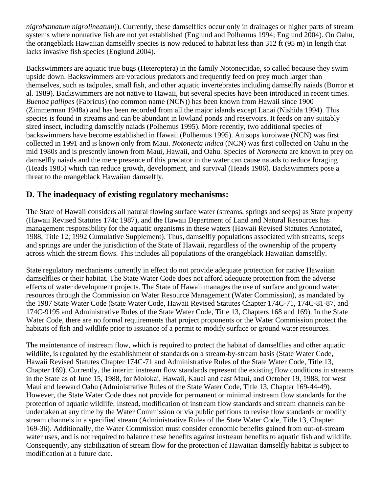*nigrohamatum nigrolineatum*)). Currently, these damselflies occur only in drainages or higher parts of stream systems where nonnative fish are not yet established (Englund and Polhemus 1994; Englund 2004). On Oahu, the orangeblack Hawaiian damselfly species is now reduced to habitat less than 312 ft (95 m) in length that lacks invasive fish species (Englund 2004).

Backswimmers are aquatic true bugs (Heteroptera) in the family Notonectidae, so called because they swim upside down. Backswimmers are voracious predators and frequently feed on prey much larger than themselves, such as tadpoles, small fish, and other aquatic invertebrates including damselfly naiads (Borror et al. 1989). Backswimmers are not native to Hawaii, but several species have been introduced in recent times. *Buenoa pallipes* (Fabricus) (no common name (NCN)) has been known from Hawaii since 1900 (Zimmerman 1948a) and has been recorded from all the major islands except Lanai (Nishida 1994). This species is found in streams and can be abundant in lowland ponds and reservoirs. It feeds on any suitably sized insect, including damselfly naiads (Polhemus 1995). More recently, two additional species of backswimmers have become established in Hawaii (Polhemus 1995). Anisops kuroiwae (NCN) was first collected in 1991 and is known only from Maui. *Notonecta indica* (NCN) was first collected on Oahu in the mid 1980s and is presently known from Maui, Hawaii, and Oahu. Species of *Notonecta* are known to prey on damselfly naiads and the mere presence of this predator in the water can cause naiads to reduce foraging (Heads 1985) which can reduce growth, development, and survival (Heads 1986). Backswimmers pose a threat to the orangeblack Hawaiian damselfly.

## **D. The inadequacy of existing regulatory mechanisms:**

The State of Hawaii considers all natural flowing surface water (streams, springs and seeps) as State property (Hawaii Revised Statutes 174c 1987), and the Hawaii Department of Land and Natural Resources has management responsibility for the aquatic organisms in these waters (Hawaii Revised Statutes Annotated, 1988, Title 12; 1992 Cumulative Supplement). Thus, damselfly populations associated with streams, seeps and springs are under the jurisdiction of the State of Hawaii, regardless of the ownership of the property across which the stream flows. This includes all populations of the orangeblack Hawaiian damselfly.

State regulatory mechanisms currently in effect do not provide adequate protection for native Hawaiian damselflies or their habitat. The State Water Code does not afford adequate protection from the adverse effects of water development projects. The State of Hawaii manages the use of surface and ground water resources through the Commission on Water Resource Management (Water Commission), as mandated by the 1987 State Water Code (State Water Code, Hawaii Revised Statutes Chapter 174C-71, 174C-81-87, and 174C-9195 and Administrative Rules of the State Water Code, Title 13, Chapters 168 and 169). In the State Water Code, there are no formal requirements that project proponents or the Water Commission protect the habitats of fish and wildlife prior to issuance of a permit to modify surface or ground water resources.

The maintenance of instream flow, which is required to protect the habitat of damselflies and other aquatic wildlife, is regulated by the establishment of standards on a stream-by-stream basis (State Water Code, Hawaii Revised Statutes Chapter 174C-71 and Administrative Rules of the State Water Code, Title 13, Chapter 169). Currently, the interim instream flow standards represent the existing flow conditions in streams in the State as of June 15, 1988, for Molokai, Hawaii, Kauai and east Maui, and October 19, 1988, for west Maui and leeward Oahu (Administrative Rules of the State Water Code, Title 13, Chapter 169-44-49). However, the State Water Code does not provide for permanent or minimal instream flow standards for the protection of aquatic wildlife. Instead, modification of instream flow standards and stream channels can be undertaken at any time by the Water Commission or via public petitions to revise flow standards or modify stream channels in a specified stream (Administrative Rules of the State Water Code, Title 13, Chapter 169-36). Additionally, the Water Commission must consider economic benefits gained from out-of-stream water uses, and is not required to balance these benefits against instream benefits to aquatic fish and wildlife. Consequently, any stabilization of stream flow for the protection of Hawaiian damselfly habitat is subject to modification at a future date.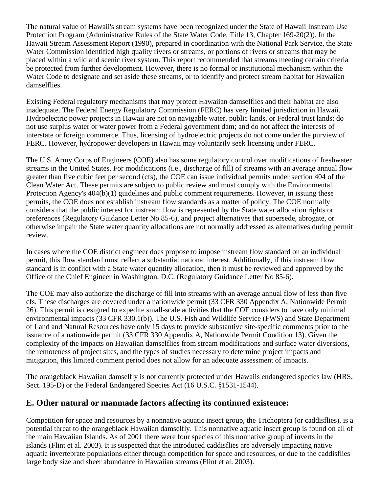The natural value of Hawaii's stream systems have been recognized under the State of Hawaii Instream Use Protection Program (Administrative Rules of the State Water Code, Title 13, Chapter 169-20(2)). In the Hawaii Stream Assessment Report (1990), prepared in coordination with the National Park Service, the State Water Commission identified high quality rivers or streams, or portions of rivers or streams that may be placed within a wild and scenic river system. This report recommended that streams meeting certain criteria be protected from further development. However, there is no formal or institutional mechanism within the Water Code to designate and set aside these streams, or to identify and protect stream habitat for Hawaiian damselflies.

Existing Federal regulatory mechanisms that may protect Hawaiian damselflies and their habitat are also inadequate. The Federal Energy Regulatory Commission (FERC) has very limited jurisdiction in Hawaii. Hydroelectric power projects in Hawaii are not on navigable water, public lands, or Federal trust lands; do not use surplus water or water power from a Federal government dam; and do not affect the interests of interstate or foreign commerce. Thus, licensing of hydroelectric projects do not come under the purview of FERC. However, hydropower developers in Hawaii may voluntarily seek licensing under FERC.

The U.S. Army Corps of Engineers (COE) also has some regulatory control over modifications of freshwater streams in the United States. For modifications (i.e., discharge of fill) of streams with an average annual flow greater than five cubic feet per second (cfs), the COE can issue individual permits under section 404 of the Clean Water Act. These permits are subject to public review and must comply with the Environmental Protection Agency's 404(b)(1) guidelines and public comment requirements. However, in issuing these permits, the COE does not establish instream flow standards as a matter of policy. The COE normally considers that the public interest for instream flow is represented by the State water allocation rights or preferences (Regulatory Guidance Letter No 85-6), and project alternatives that supersede, abrogate, or otherwise impair the State water quantity allocations are not normally addressed as alternatives during permit review.

In cases where the COE district engineer does propose to impose instream flow standard on an individual permit, this flow standard must reflect a substantial national interest. Additionally, if this instream flow standard is in conflict with a State water quantity allocation, then it must be reviewed and approved by the Office of the Chief Engineer in Washington, D.C. (Regulatory Guidance Letter No 85-6).

The COE may also authorize the discharge of fill into streams with an average annual flow of less than five cfs. These discharges are covered under a nationwide permit (33 CFR 330 Appendix A, Nationwide Permit 26). This permit is designed to expedite small-scale activities that the COE considers to have only minimal environmental impacts (33 CFR 330.1(b)). The U.S. Fish and Wildlife Service (FWS) and State Department of Land and Natural Resources have only 15 days to provide substantive site-specific comments prior to the issuance of a nationwide permit (33 CFR 330 Appendix A, Nationwide Permit Condition 13). Given the complexity of the impacts on Hawaiian damselflies from stream modifications and surface water diversions, the remoteness of project sites, and the types of studies necessary to determine project impacts and mitigation, this limited comment period does not allow for an adequate assessment of impacts.

The orangeblack Hawaiian damselfly is not currently protected under Hawaiis endangered species law (HRS, Sect. 195-D) or the Federal Endangered Species Act (16 U.S.C. §1531-1544).

## **E. Other natural or manmade factors affecting its continued existence:**

Competition for space and resources by a nonnative aquatic insect group, the Trichoptera (or caddisflies), is a potential threat to the orangeblack Hawaiian damselfly. This nonnative aquatic insect group is found on all of the main Hawaiian Islands. As of 2001 there were four species of this nonnative group of inverts in the islands (Flint et al. 2003). It is suspected that the introduced caddisflies are adversely impacting native aquatic invertebrate populations either through competition for space and resources, or due to the caddisflies large body size and sheer abundance in Hawaiian streams (Flint et al. 2003).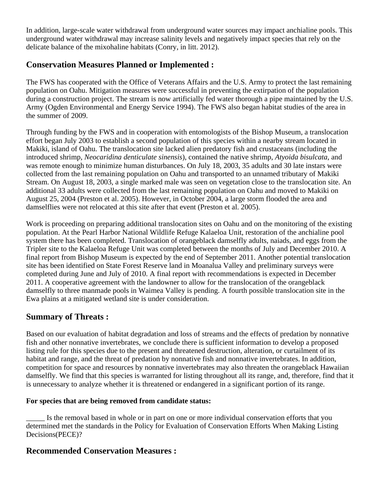In addition, large-scale water withdrawal from underground water sources may impact anchialine pools. This underground water withdrawal may increase salinity levels and negatively impact species that rely on the delicate balance of the mixohaline habitats (Conry, in litt. 2012).

#### **Conservation Measures Planned or Implemented :**

The FWS has cooperated with the Office of Veterans Affairs and the U.S. Army to protect the last remaining population on Oahu. Mitigation measures were successful in preventing the extirpation of the population during a construction project. The stream is now artificially fed water thorough a pipe maintained by the U.S. Army (Ogden Environmental and Energy Service 1994). The FWS also began habitat studies of the area in the summer of 2009.

Through funding by the FWS and in cooperation with entomologists of the Bishop Museum, a translocation effort began July 2003 to establish a second population of this species within a nearby stream located in Makiki, island of Oahu. The translocation site lacked alien predatory fish and crustaceans (including the introduced shrimp, *Neocaridina denticulate sinensis*), contained the native shrimp, *Atyoida bisulcata*, and was remote enough to minimize human disturbances. On July 18, 2003, 35 adults and 30 late instars were collected from the last remaining population on Oahu and transported to an unnamed tributary of Makiki Stream. On August 18, 2003, a single marked male was seen on vegetation close to the translocation site. An additional 33 adults were collected from the last remaining population on Oahu and moved to Makiki on August 25, 2004 (Preston et al. 2005). However, in October 2004, a large storm flooded the area and damselflies were not relocated at this site after that event (Preston et al. 2005).

Work is proceeding on preparing additional translocation sites on Oahu and on the monitoring of the existing population. At the Pearl Harbor National Wildlife Refuge Kalaeloa Unit, restoration of the anchialine pool system there has been completed. Translocation of orangeblack damselfly adults, naiads, and eggs from the Tripler site to the Kalaeloa Refuge Unit was completed between the months of July and December 2010. A final report from Bishop Museum is expected by the end of September 2011. Another potential translocation site has been identified on State Forest Reserve land in Moanalua Valley and preliminary surveys were completed during June and July of 2010. A final report with recommendations is expected in December 2011. A cooperative agreement with the landowner to allow for the translocation of the orangeblack damselfly to three manmade pools in Waimea Valley is pending. A fourth possible translocation site in the Ewa plains at a mitigated wetland site is under consideration.

#### **Summary of Threats :**

Based on our evaluation of habitat degradation and loss of streams and the effects of predation by nonnative fish and other nonnative invertebrates, we conclude there is sufficient information to develop a proposed listing rule for this species due to the present and threatened destruction, alteration, or curtailment of its habitat and range, and the threat of predation by nonnative fish and nonnative invertebrates. In addition, competition for space and resources by nonnative invertebrates may also threaten the orangeblack Hawaiian damselfly. We find that this species is warranted for listing throughout all its range, and, therefore, find that it is unnecessary to analyze whether it is threatened or endangered in a significant portion of its range.

#### **For species that are being removed from candidate status:**

Is the removal based in whole or in part on one or more individual conservation efforts that you determined met the standards in the Policy for Evaluation of Conservation Efforts When Making Listing Decisions(PECE)?

#### **Recommended Conservation Measures :**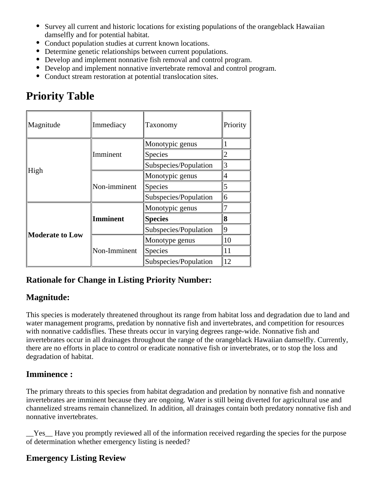- Survey all current and historic locations for existing populations of the orangeblack Hawaiian damselfly and for potential habitat.
- Conduct population studies at current known locations.
- Determine genetic relationships between current populations.
- Develop and implement nonnative fish removal and control program.
- Develop and implement nonnative invertebrate removal and control program.
- Conduct stream restoration at potential translocation sites.

# **Priority Table**

| Magnitude              | Immediacy       | Taxonomy              | Priority       |
|------------------------|-----------------|-----------------------|----------------|
| High                   | Imminent        | Monotypic genus       |                |
|                        |                 | Species               | $\overline{2}$ |
|                        |                 | Subspecies/Population | 3              |
|                        | Non-imminent    | Monotypic genus       | 4              |
|                        |                 | Species               | 5              |
|                        |                 | Subspecies/Population | 6              |
| <b>Moderate to Low</b> | <b>Imminent</b> | Monotypic genus       |                |
|                        |                 | <b>Species</b>        | 8              |
|                        |                 | Subspecies/Population | 9              |
|                        | Non-Imminent    | Monotype genus        | 10             |
|                        |                 | Species               | 11             |
|                        |                 | Subspecies/Population | 12             |

# **Rationale for Change in Listing Priority Number:**

# **Magnitude:**

This species is moderately threatened throughout its range from habitat loss and degradation due to land and water management programs, predation by nonnative fish and invertebrates, and competition for resources with nonnative caddisflies. These threats occur in varying degrees range-wide. Nonnative fish and invertebrates occur in all drainages throughout the range of the orangeblack Hawaiian damselfly. Currently, there are no efforts in place to control or eradicate nonnative fish or invertebrates, or to stop the loss and degradation of habitat.

## **Imminence :**

The primary threats to this species from habitat degradation and predation by nonnative fish and nonnative invertebrates are imminent because they are ongoing. Water is still being diverted for agricultural use and channelized streams remain channelized. In addition, all drainages contain both predatory nonnative fish and nonnative invertebrates.

\_\_Yes\_\_ Have you promptly reviewed all of the information received regarding the species for the purpose of determination whether emergency listing is needed?

## **Emergency Listing Review**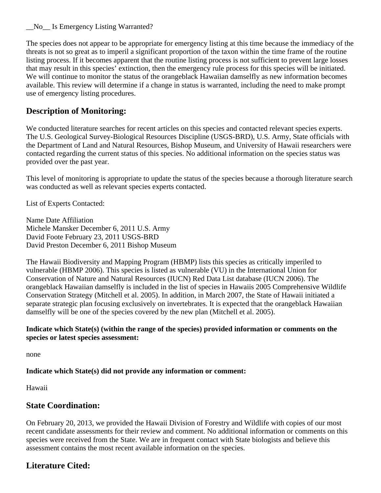\_\_No\_\_ Is Emergency Listing Warranted?

The species does not appear to be appropriate for emergency listing at this time because the immediacy of the threats is not so great as to imperil a significant proportion of the taxon within the time frame of the routine listing process. If it becomes apparent that the routine listing process is not sufficient to prevent large losses that may result in this species' extinction, then the emergency rule process for this species will be initiated. We will continue to monitor the status of the orangeblack Hawaiian damselfly as new information becomes available. This review will determine if a change in status is warranted, including the need to make prompt use of emergency listing procedures.

#### **Description of Monitoring:**

We conducted literature searches for recent articles on this species and contacted relevant species experts. The U.S. Geological Survey-Biological Resources Discipline (USGS-BRD), U.S. Army, State officials with the Department of Land and Natural Resources, Bishop Museum, and University of Hawaii researchers were contacted regarding the current status of this species. No additional information on the species status was provided over the past year.

This level of monitoring is appropriate to update the status of the species because a thorough literature search was conducted as well as relevant species experts contacted.

List of Experts Contacted:

Name Date Affiliation Michele Mansker December 6, 2011 U.S. Army David Foote February 23, 2011 USGS-BRD David Preston December 6, 2011 Bishop Museum

The Hawaii Biodiversity and Mapping Program (HBMP) lists this species as critically imperiled to vulnerable (HBMP 2006). This species is listed as vulnerable (VU) in the International Union for Conservation of Nature and Natural Resources (IUCN) Red Data List database (IUCN 2006). The orangeblack Hawaiian damselfly is included in the list of species in Hawaiis 2005 Comprehensive Wildlife Conservation Strategy (Mitchell et al. 2005). In addition, in March 2007, the State of Hawaii initiated a separate strategic plan focusing exclusively on invertebrates. It is expected that the orangeblack Hawaiian damselfly will be one of the species covered by the new plan (Mitchell et al. 2005).

#### **Indicate which State(s) (within the range of the species) provided information or comments on the species or latest species assessment:**

none

#### **Indicate which State(s) did not provide any information or comment:**

Hawaii

#### **State Coordination:**

On February 20, 2013, we provided the Hawaii Division of Forestry and Wildlife with copies of our most recent candidate assessments for their review and comment. No additional information or comments on this species were received from the State. We are in frequent contact with State biologists and believe this assessment contains the most recent available information on the species.

## **Literature Cited:**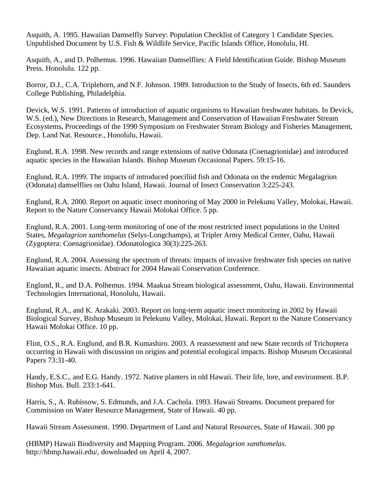Asquith, A. 1995. Hawaiian Damselfly Survey: Population Checklist of Category 1 Candidate Species. Unpublished Document by U.S. Fish & Wildlife Service, Pacific Islands Office, Honolulu, HI.

Asquith, A., and D. Polhemus. 1996. Hawaiian Damselflies: A Field Identification Guide. Bishop Museum Press. Honolulu. 122 pp.

Borror, D.J., C.A. Triplehorn, and N.F. Johnson. 1989. Introduction to the Study of Insects, 6th ed. Saunders College Publishing, Philadelphia.

Devick, W.S. 1991. Patterns of introduction of aquatic organisms to Hawaiian freshwater habitats. In Devick, W.S. (ed.), New Directions in Research, Management and Conservation of Hawaiian Freshwater Stream Ecosystems, Proceedings of the 1990 Symposium on Freshwater Stream Biology and Fisheries Management, Dep. Land Nat. Resource., Honolulu, Hawaii.

Englund, R.A. 1998. New records and range extensions of native Odonata (Coenagrionidae) and introduced aquatic species in the Hawaiian Islands. Bishop Museum Occasional Papers. 59:15-16.

Englund, R.A. 1999. The impacts of introduced poeciliid fish and Odonata on the endemic Megalagrion (Odonata) damselflies on Oahu Island, Hawaii. Journal of Insect Conservation 3:225-243.

Englund, R.A. 2000. Report on aquatic insect monitoring of May 2000 in Pelekunu Valley, Molokai, Hawaii. Report to the Nature Conservancy Hawaii Molokai Office. 5 pp.

Englund, R.A. 2001. Long-term monitoring of one of the most restricted insect populations in the United States, *Megalagrion xanthomelas* (Selys-Longchamps), at Tripler Army Medical Center, Oahu, Hawaii (Zygoptera: Coenagrionidae). Odonatologica 30(3):225-263.

Englund, R.A. 2004. Assessing the spectrum of threats: impacts of invasive freshwater fish species on native Hawaiian aquatic insects. Abstract for 2004 Hawaii Conservation Conference.

Englund, R., and D.A. Polhemus. 1994. Maakua Stream biological assessment, Oahu, Hawaii. Environmental Technologies International, Honolulu, Hawaii.

Englund, R.A., and K. Arakaki. 2003. Report on long-term aquatic insect monitoring in 2002 by Hawaii Biological Survey, Bishop Museum in Pelekunu Valley, Molokai, Hawaii. Report to the Nature Conservancy Hawaii Molokai Office. 10 pp.

Flint, O.S., R.A. Englund, and B.R. Kumashiro. 2003. A reassessment and new State records of Trichoptera occurring in Hawaii with discussion on origins and potential ecological impacts. Bishop Museum Occasional Papers 73:31-40.

Handy, E.S.C., and E.G. Handy. 1972. Native planters in old Hawaii. Their life, lore, and environment. B.P. Bishop Mus. Bull. 233:1-641.

Harris, S., A. Rubissow, S. Edmunds, and J.A. Cachola. 1993. Hawaii Streams. Document prepared for Commission on Water Resource Management, State of Hawaii. 40 pp.

Hawaii Stream Assessment. 1990. Department of Land and Natural Resources, State of Hawaii. 300 pp

(HBMP) Hawaii Biodiversity and Mapping Program. 2006. *Megalagrion xanthomelas*. http://hbmp.hawaii.edu/, downloaded on April 4, 2007.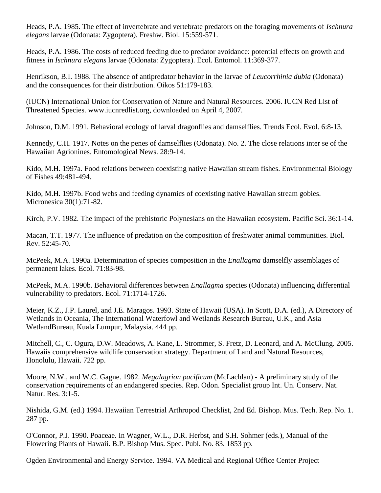Heads, P.A. 1985. The effect of invertebrate and vertebrate predators on the foraging movements of *Ischnura elegans* larvae (Odonata: Zygoptera). Freshw. Biol. 15:559-571.

Heads, P.A. 1986. The costs of reduced feeding due to predator avoidance: potential effects on growth and fitness in *Ischnura elegans* larvae (Odonata: Zygoptera). Ecol. Entomol. 11:369-377.

Henrikson, B.I. 1988. The absence of antipredator behavior in the larvae of *Leucorrhinia dubia* (Odonata) and the consequences for their distribution. Oikos 51:179-183.

(IUCN) International Union for Conservation of Nature and Natural Resources. 2006. IUCN Red List of Threatened Species. www.iucnredlist.org, downloaded on April 4, 2007.

Johnson, D.M. 1991. Behavioral ecology of larval dragonflies and damselflies. Trends Ecol. Evol. 6:8-13.

Kennedy, C.H. 1917. Notes on the penes of damselflies (Odonata). No. 2. The close relations inter se of the Hawaiian Agrionines. Entomological News. 28:9-14.

Kido, M.H. 1997a. Food relations between coexisting native Hawaiian stream fishes. Environmental Biology of Fishes 49:481-494.

Kido, M.H. 1997b. Food webs and feeding dynamics of coexisting native Hawaiian stream gobies. Micronesica 30(1):71-82.

Kirch, P.V. 1982. The impact of the prehistoric Polynesians on the Hawaiian ecosystem. Pacific Sci. 36:1-14.

Macan, T.T. 1977. The influence of predation on the composition of freshwater animal communities. Biol. Rev. 52:45-70.

McPeek, M.A. 1990a. Determination of species composition in the *Enallagma* damselfly assemblages of permanent lakes. Ecol. 71:83-98.

McPeek, M.A. 1990b. Behavioral differences between *Enallagma* species (Odonata) influencing differential vulnerability to predators. Ecol. 71:1714-1726.

Meier, K.Z., J.P. Laurel, and J.E. Maragos. 1993. State of Hawaii (USA). In Scott, D.A. (ed.), A Directory of Wetlands in Oceania, The International Waterfowl and Wetlands Research Bureau, U.K., and Asia WetlandBureau, Kuala Lumpur, Malaysia. 444 pp.

Mitchell, C., C. Ogura, D.W. Meadows, A. Kane, L. Strommer, S. Fretz, D. Leonard, and A. McClung. 2005. Hawaiis comprehensive wildlife conservation strategy. Department of Land and Natural Resources, Honolulu, Hawaii. 722 pp.

Moore, N.W., and W.C. Gagne. 1982. *Megalagrion pacificum* (McLachlan) - A preliminary study of the conservation requirements of an endangered species. Rep. Odon. Specialist group Int. Un. Conserv. Nat. Natur. Res. 3:1-5.

Nishida, G.M. (ed.) 1994. Hawaiian Terrestrial Arthropod Checklist, 2nd Ed. Bishop. Mus. Tech. Rep. No. 1. 287 pp.

O'Connor, P.J. 1990. Poaceae. In Wagner, W.L., D.R. Herbst, and S.H. Sohmer (eds.), Manual of the Flowering Plants of Hawaii. B.P. Bishop Mus. Spec. Publ. No. 83. 1853 pp.

Ogden Environmental and Energy Service. 1994. VA Medical and Regional Office Center Project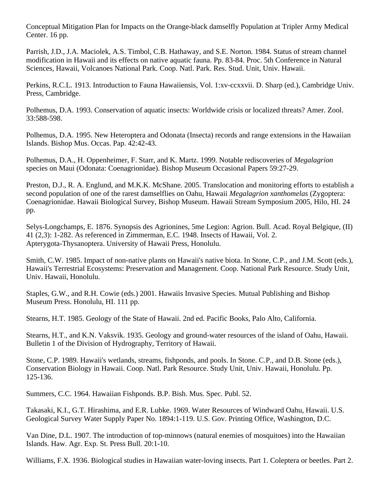Conceptual Mitigation Plan for Impacts on the Orange-black damselfly Population at Tripler Army Medical Center. 16 pp.

Parrish, J.D., J.A. Maciolek, A.S. Timbol, C.B. Hathaway, and S.E. Norton. 1984. Status of stream channel modification in Hawaii and its effects on native aquatic fauna. Pp. 83-84. Proc. 5th Conference in Natural Sciences, Hawaii, Volcanoes National Park. Coop. Natl. Park. Res. Stud. Unit, Univ. Hawaii.

Perkins, R.C.L. 1913. Introduction to Fauna Hawaiiensis, Vol. 1:xv-ccxxvii. D. Sharp (ed.), Cambridge Univ. Press, Cambridge.

Polhemus, D.A. 1993. Conservation of aquatic insects: Worldwide crisis or localized threats? Amer. Zool. 33:588-598.

Polhemus, D.A. 1995. New Heteroptera and Odonata (Insecta) records and range extensions in the Hawaiian Islands. Bishop Mus. Occas. Pap. 42:42-43.

Polhemus, D.A., H. Oppenheimer, F. Starr, and K. Martz. 1999. Notable rediscoveries of *Megalagrion* species on Maui (Odonata: Coenagrionidae). Bishop Museum Occasional Papers 59:27-29.

Preston, D.J., R. A. Englund, and M.K.K. McShane. 2005. Translocation and monitoring efforts to establish a second population of one of the rarest damselflies on Oahu, Hawaii *Megalagrion xanthomelas* (Zygoptera: Coenagrionidae. Hawaii Biological Survey, Bishop Museum. Hawaii Stream Symposium 2005, Hilo, HI. 24 pp.

Selys-Longchamps, E. 1876. Synopsis des Agrionines, 5me Legion: Agrion. Bull. Acad. Royal Belgique, (II) 41 (2,3): 1-282. As referenced in Zimmerman, E.C. 1948. Insects of Hawaii, Vol. 2. Apterygota-Thysanoptera. University of Hawaii Press, Honolulu.

Smith, C.W. 1985. Impact of non-native plants on Hawaii's native biota. In Stone, C.P., and J.M. Scott (eds.), Hawaii's Terrestrial Ecosystems: Preservation and Management. Coop. National Park Resource. Study Unit, Univ. Hawaii, Honolulu.

Staples, G.W., and R.H. Cowie (eds.) 2001. Hawaiis Invasive Species. Mutual Publishing and Bishop Museum Press. Honolulu, HI. 111 pp.

Stearns, H.T. 1985. Geology of the State of Hawaii. 2nd ed. Pacific Books, Palo Alto, California.

Stearns, H.T., and K.N. Vaksvik. 1935. Geology and ground-water resources of the island of Oahu, Hawaii. Bulletin 1 of the Division of Hydrography, Territory of Hawaii.

Stone, C.P. 1989. Hawaii's wetlands, streams, fishponds, and pools. In Stone. C.P., and D.B. Stone (eds.), Conservation Biology in Hawaii. Coop. Natl. Park Resource. Study Unit, Univ. Hawaii, Honolulu. Pp. 125-136.

Summers, C.C. 1964. Hawaiian Fishponds. B.P. Bish. Mus. Spec. Publ. 52.

Takasaki, K.I., G.T. Hirashima, and E.R. Lubke. 1969. Water Resources of Windward Oahu, Hawaii. U.S. Geological Survey Water Supply Paper No. 1894:1-119. U.S. Gov. Printing Office, Washington, D.C.

Van Dine, D.L. 1907. The introduction of top-minnows (natural enemies of mosquitoes) into the Hawaiian Islands. Haw. Agr. Exp. St. Press Bull. 20:1-10.

Williams, F.X. 1936. Biological studies in Hawaiian water-loving insects. Part 1. Coleptera or beetles. Part 2.